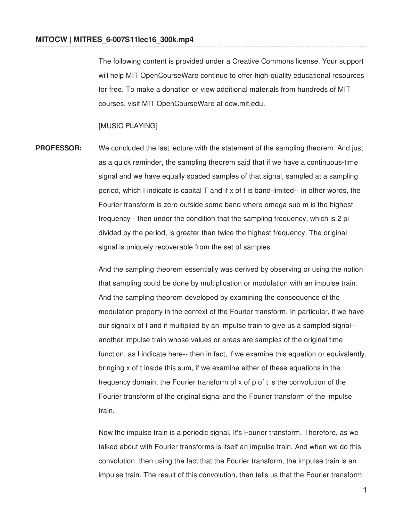The following content is provided under a Creative Commons license. Your support will help MIT OpenCourseWare continue to offer high-quality educational resources for free. To make a donation or view additional materials from hundreds of MIT courses, visit MIT OpenCourseWare at ocw.mit.edu.

[MUSIC PLAYING]

**PROFESSOR:** We concluded the last lecture with the statement of the sampling theorem. And just as a quick reminder, the sampling theorem said that if we have a continuous-time signal and we have equally spaced samples of that signal, sampled at a sampling period, which I indicate is capital T and if x of t is band-limited-- in other words, the Fourier transform is zero outside some band where omega sub m is the highest frequency-- then under the condition that the sampling frequency, which is 2 pi divided by the period, is greater than twice the highest frequency. The original signal is uniquely recoverable from the set of samples.

> And the sampling theorem essentially was derived by observing or using the notion that sampling could be done by multiplication or modulation with an impulse train. And the sampling theorem developed by examining the consequence of the modulation property in the context of the Fourier transform. In particular, if we have our signal x of t and if multiplied by an impulse train to give us a sampled signal- another impulse train whose values or areas are samples of the original time function, as I indicate here-- then in fact, if we examine this equation or equivalently, bringing x of t inside this sum, if we examine either of these equations in the frequency domain, the Fourier transform of x of p of t is the convolution of the Fourier transform of the original signal and the Fourier transform of the impulse train.

Now the impulse train is a periodic signal. It's Fourier transform. Therefore, as we talked about with Fourier transforms is itself an impulse train. And when we do this convolution, then using the fact that the Fourier transform, the impulse train is an impulse train. The result of this convolution, then tells us that the Fourier transform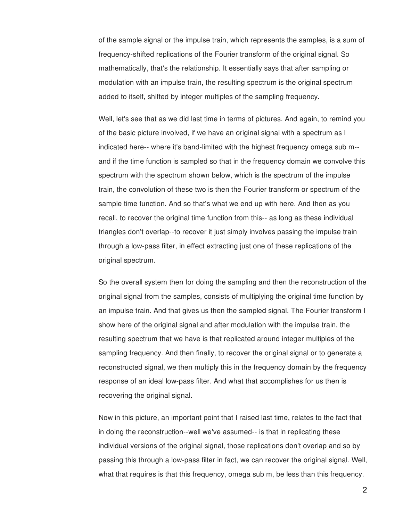of the sample signal or the impulse train, which represents the samples, is a sum of frequency-shifted replications of the Fourier transform of the original signal. So mathematically, that's the relationship. It essentially says that after sampling or modulation with an impulse train, the resulting spectrum is the original spectrum added to itself, shifted by integer multiples of the sampling frequency.

Well, let's see that as we did last time in terms of pictures. And again, to remind you of the basic picture involved, if we have an original signal with a spectrum as I indicated here-- where it's band-limited with the highest frequency omega sub m- and if the time function is sampled so that in the frequency domain we convolve this spectrum with the spectrum shown below, which is the spectrum of the impulse train, the convolution of these two is then the Fourier transform or spectrum of the sample time function. And so that's what we end up with here. And then as you recall, to recover the original time function from this-- as long as these individual triangles don't overlap--to recover it just simply involves passing the impulse train through a low-pass filter, in effect extracting just one of these replications of the original spectrum.

So the overall system then for doing the sampling and then the reconstruction of the original signal from the samples, consists of multiplying the original time function by an impulse train. And that gives us then the sampled signal. The Fourier transform I show here of the original signal and after modulation with the impulse train, the resulting spectrum that we have is that replicated around integer multiples of the sampling frequency. And then finally, to recover the original signal or to generate a reconstructed signal, we then multiply this in the frequency domain by the frequency response of an ideal low-pass filter. And what that accomplishes for us then is recovering the original signal.

Now in this picture, an important point that I raised last time, relates to the fact that in doing the reconstruction--well we've assumed-- is that in replicating these individual versions of the original signal, those replications don't overlap and so by passing this through a low-pass filter in fact, we can recover the original signal. Well, what that requires is that this frequency, omega sub m, be less than this frequency.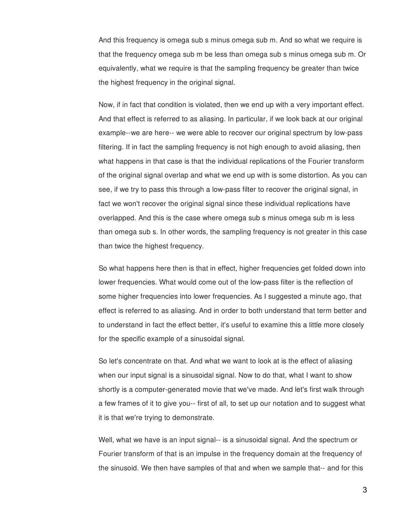And this frequency is omega sub s minus omega sub m. And so what we require is that the frequency omega sub m be less than omega sub s minus omega sub m. Or equivalently, what we require is that the sampling frequency be greater than twice the highest frequency in the original signal.

Now, if in fact that condition is violated, then we end up with a very important effect. And that effect is referred to as aliasing. In particular, if we look back at our original example--we are here-- we were able to recover our original spectrum by low-pass filtering. If in fact the sampling frequency is not high enough to avoid aliasing, then what happens in that case is that the individual replications of the Fourier transform of the original signal overlap and what we end up with is some distortion. As you can see, if we try to pass this through a low-pass filter to recover the original signal, in fact we won't recover the original signal since these individual replications have overlapped. And this is the case where omega sub s minus omega sub m is less than omega sub s. In other words, the sampling frequency is not greater in this case than twice the highest frequency.

So what happens here then is that in effect, higher frequencies get folded down into lower frequencies. What would come out of the low-pass filter is the reflection of some higher frequencies into lower frequencies. As I suggested a minute ago, that effect is referred to as aliasing. And in order to both understand that term better and to understand in fact the effect better, it's useful to examine this a little more closely for the specific example of a sinusoidal signal.

So let's concentrate on that. And what we want to look at is the effect of aliasing when our input signal is a sinusoidal signal. Now to do that, what I want to show shortly is a computer-generated movie that we've made. And let's first walk through a few frames of it to give you-- first of all, to set up our notation and to suggest what it is that we're trying to demonstrate.

Well, what we have is an input signal-- is a sinusoidal signal. And the spectrum or Fourier transform of that is an impulse in the frequency domain at the frequency of the sinusoid. We then have samples of that and when we sample that-- and for this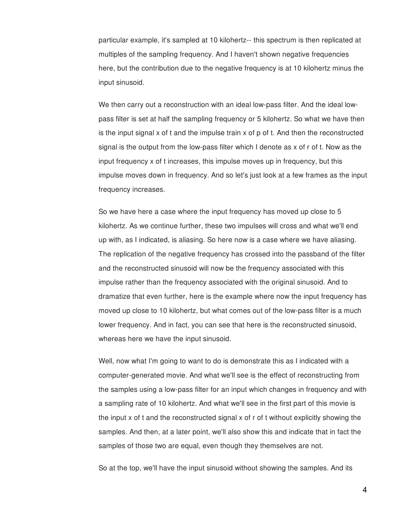particular example, it's sampled at 10 kilohertz-- this spectrum is then replicated at multiples of the sampling frequency. And I haven't shown negative frequencies here, but the contribution due to the negative frequency is at 10 kilohertz minus the input sinusoid.

We then carry out a reconstruction with an ideal low-pass filter. And the ideal lowpass filter is set at half the sampling frequency or 5 kilohertz. So what we have then is the input signal  $x$  of  $t$  and the impulse train  $x$  of  $p$  of  $t$ . And then the reconstructed signal is the output from the low-pass filter which I denote as x of r of t. Now as the input frequency x of t increases, this impulse moves up in frequency, but this impulse moves down in frequency. And so let's just look at a few frames as the input frequency increases.

So we have here a case where the input frequency has moved up close to 5 kilohertz. As we continue further, these two impulses will cross and what we'll end up with, as I indicated, is aliasing. So here now is a case where we have aliasing. The replication of the negative frequency has crossed into the passband of the filter and the reconstructed sinusoid will now be the frequency associated with this impulse rather than the frequency associated with the original sinusoid. And to dramatize that even further, here is the example where now the input frequency has moved up close to 10 kilohertz, but what comes out of the low-pass filter is a much lower frequency. And in fact, you can see that here is the reconstructed sinusoid, whereas here we have the input sinusoid.

Well, now what I'm going to want to do is demonstrate this as I indicated with a computer-generated movie. And what we'll see is the effect of reconstructing from the samples using a low-pass filter for an input which changes in frequency and with a sampling rate of 10 kilohertz. And what we'll see in the first part of this movie is the input x of t and the reconstructed signal x of r of t without explicitly showing the samples. And then, at a later point, we'll also show this and indicate that in fact the samples of those two are equal, even though they themselves are not.

So at the top, we'll have the input sinusoid without showing the samples. And its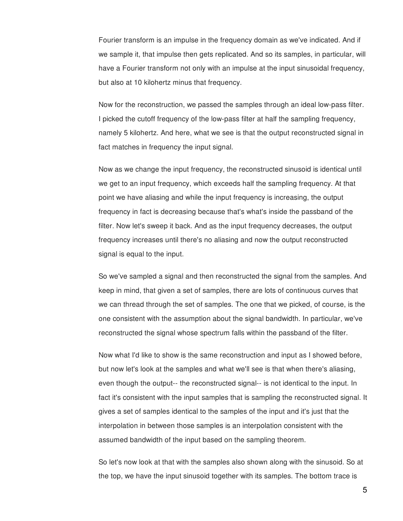Fourier transform is an impulse in the frequency domain as we've indicated. And if we sample it, that impulse then gets replicated. And so its samples, in particular, will have a Fourier transform not only with an impulse at the input sinusoidal frequency, but also at 10 kilohertz minus that frequency.

Now for the reconstruction, we passed the samples through an ideal low-pass filter. I picked the cutoff frequency of the low-pass filter at half the sampling frequency, namely 5 kilohertz. And here, what we see is that the output reconstructed signal in fact matches in frequency the input signal.

Now as we change the input frequency, the reconstructed sinusoid is identical until we get to an input frequency, which exceeds half the sampling frequency. At that point we have aliasing and while the input frequency is increasing, the output frequency in fact is decreasing because that's what's inside the passband of the filter. Now let's sweep it back. And as the input frequency decreases, the output frequency increases until there's no aliasing and now the output reconstructed signal is equal to the input.

So we've sampled a signal and then reconstructed the signal from the samples. And keep in mind, that given a set of samples, there are lots of continuous curves that we can thread through the set of samples. The one that we picked, of course, is the one consistent with the assumption about the signal bandwidth. In particular, we've reconstructed the signal whose spectrum falls within the passband of the filter.

Now what I'd like to show is the same reconstruction and input as I showed before, but now let's look at the samples and what we'll see is that when there's aliasing, even though the output-- the reconstructed signal-- is not identical to the input. In fact it's consistent with the input samples that is sampling the reconstructed signal. It gives a set of samples identical to the samples of the input and it's just that the interpolation in between those samples is an interpolation consistent with the assumed bandwidth of the input based on the sampling theorem.

So let's now look at that with the samples also shown along with the sinusoid. So at the top, we have the input sinusoid together with its samples. The bottom trace is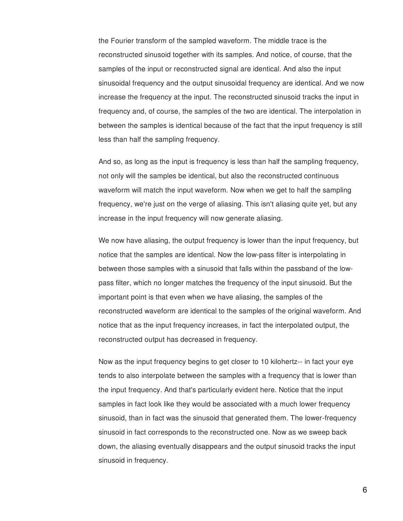the Fourier transform of the sampled waveform. The middle trace is the reconstructed sinusoid together with its samples. And notice, of course, that the samples of the input or reconstructed signal are identical. And also the input sinusoidal frequency and the output sinusoidal frequency are identical. And we now increase the frequency at the input. The reconstructed sinusoid tracks the input in frequency and, of course, the samples of the two are identical. The interpolation in between the samples is identical because of the fact that the input frequency is still less than half the sampling frequency.

And so, as long as the input is frequency is less than half the sampling frequency, not only will the samples be identical, but also the reconstructed continuous waveform will match the input waveform. Now when we get to half the sampling frequency, we're just on the verge of aliasing. This isn't aliasing quite yet, but any increase in the input frequency will now generate aliasing.

We now have aliasing, the output frequency is lower than the input frequency, but notice that the samples are identical. Now the low-pass filter is interpolating in between those samples with a sinusoid that falls within the passband of the lowpass filter, which no longer matches the frequency of the input sinusoid. But the important point is that even when we have aliasing, the samples of the reconstructed waveform are identical to the samples of the original waveform. And notice that as the input frequency increases, in fact the interpolated output, the reconstructed output has decreased in frequency.

Now as the input frequency begins to get closer to 10 kilohertz-- in fact your eye tends to also interpolate between the samples with a frequency that is lower than the input frequency. And that's particularly evident here. Notice that the input samples in fact look like they would be associated with a much lower frequency sinusoid, than in fact was the sinusoid that generated them. The lower-frequency sinusoid in fact corresponds to the reconstructed one. Now as we sweep back down, the aliasing eventually disappears and the output sinusoid tracks the input sinusoid in frequency.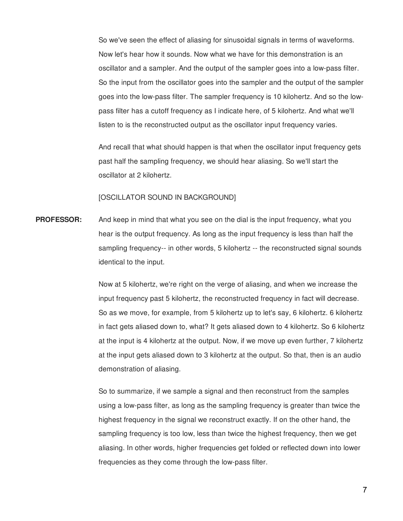So we've seen the effect of aliasing for sinusoidal signals in terms of waveforms. Now let's hear how it sounds. Now what we have for this demonstration is an oscillator and a sampler. And the output of the sampler goes into a low-pass filter. So the input from the oscillator goes into the sampler and the output of the sampler goes into the low-pass filter. The sampler frequency is 10 kilohertz. And so the lowpass filter has a cutoff frequency as I indicate here, of 5 kilohertz. And what we'll listen to is the reconstructed output as the oscillator input frequency varies.

And recall that what should happen is that when the oscillator input frequency gets past half the sampling frequency, we should hear aliasing. So we'll start the oscillator at 2 kilohertz.

### [OSCILLATOR SOUND IN BACKGROUND]

**PROFESSOR:** And keep in mind that what you see on the dial is the input frequency, what you hear is the output frequency. As long as the input frequency is less than half the sampling frequency-- in other words, 5 kilohertz -- the reconstructed signal sounds identical to the input.

> Now at 5 kilohertz, we're right on the verge of aliasing, and when we increase the input frequency past 5 kilohertz, the reconstructed frequency in fact will decrease. So as we move, for example, from 5 kilohertz up to let's say, 6 kilohertz. 6 kilohertz in fact gets aliased down to, what? It gets aliased down to 4 kilohertz. So 6 kilohertz at the input is 4 kilohertz at the output. Now, if we move up even further, 7 kilohertz at the input gets aliased down to 3 kilohertz at the output. So that, then is an audio demonstration of aliasing.

So to summarize, if we sample a signal and then reconstruct from the samples using a low-pass filter, as long as the sampling frequency is greater than twice the highest frequency in the signal we reconstruct exactly. If on the other hand, the sampling frequency is too low, less than twice the highest frequency, then we get aliasing. In other words, higher frequencies get folded or reflected down into lower frequencies as they come through the low-pass filter.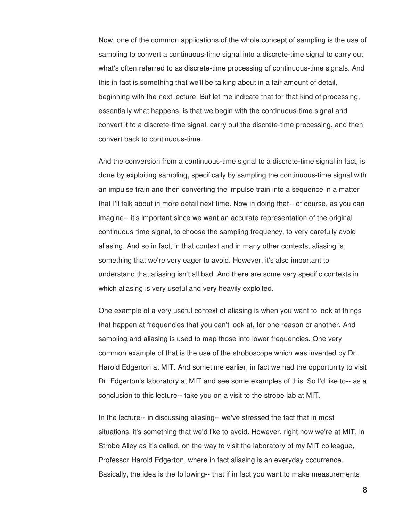Now, one of the common applications of the whole concept of sampling is the use of sampling to convert a continuous-time signal into a discrete-time signal to carry out what's often referred to as discrete-time processing of continuous-time signals. And this in fact is something that we'll be talking about in a fair amount of detail, beginning with the next lecture. But let me indicate that for that kind of processing, essentially what happens, is that we begin with the continuous-time signal and convert it to a discrete-time signal, carry out the discrete-time processing, and then convert back to continuous-time.

And the conversion from a continuous-time signal to a discrete-time signal in fact, is done by exploiting sampling, specifically by sampling the continuous-time signal with an impulse train and then converting the impulse train into a sequence in a matter that I'll talk about in more detail next time. Now in doing that-- of course, as you can imagine-- it's important since we want an accurate representation of the original continuous-time signal, to choose the sampling frequency, to very carefully avoid aliasing. And so in fact, in that context and in many other contexts, aliasing is something that we're very eager to avoid. However, it's also important to understand that aliasing isn't all bad. And there are some very specific contexts in which aliasing is very useful and very heavily exploited.

One example of a very useful context of aliasing is when you want to look at things that happen at frequencies that you can't look at, for one reason or another. And sampling and aliasing is used to map those into lower frequencies. One very common example of that is the use of the stroboscope which was invented by Dr. Harold Edgerton at MIT. And sometime earlier, in fact we had the opportunity to visit Dr. Edgerton's laboratory at MIT and see some examples of this. So I'd like to-- as a conclusion to this lecture-- take you on a visit to the strobe lab at MIT.

In the lecture-- in discussing aliasing-- we've stressed the fact that in most situations, it's something that we'd like to avoid. However, right now we're at MIT, in Strobe Alley as it's called, on the way to visit the laboratory of my MIT colleague, Professor Harold Edgerton, where in fact aliasing is an everyday occurrence. Basically, the idea is the following-- that if in fact you want to make measurements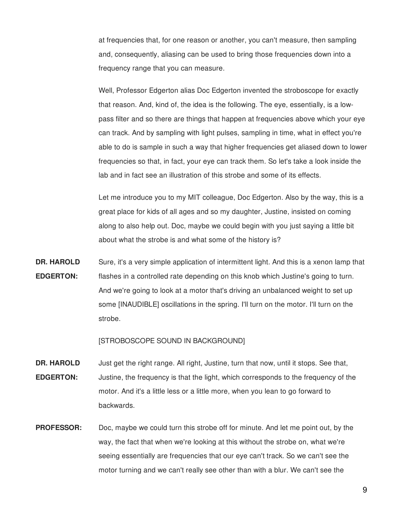at frequencies that, for one reason or another, you can't measure, then sampling and, consequently, aliasing can be used to bring those frequencies down into a frequency range that you can measure.

Well, Professor Edgerton alias Doc Edgerton invented the stroboscope for exactly that reason. And, kind of, the idea is the following. The eye, essentially, is a lowpass filter and so there are things that happen at frequencies above which your eye can track. And by sampling with light pulses, sampling in time, what in effect you're able to do is sample in such a way that higher frequencies get aliased down to lower frequencies so that, in fact, your eye can track them. So let's take a look inside the lab and in fact see an illustration of this strobe and some of its effects.

Let me introduce you to my MIT colleague, Doc Edgerton. Also by the way, this is a great place for kids of all ages and so my daughter, Justine, insisted on coming along to also help out. Doc, maybe we could begin with you just saying a little bit about what the strobe is and what some of the history is?

**DR. HAROLD EDGERTON:** Sure, it's a very simple application of intermittent light. And this is a xenon lamp that flashes in a controlled rate depending on this knob which Justine's going to turn. And we're going to look at a motor that's driving an unbalanced weight to set up some [INAUDIBLE] oscillations in the spring. I'll turn on the motor. I'll turn on the strobe.

[STROBOSCOPE SOUND IN BACKGROUND]

- **DR. HAROLD EDGERTON:** Just get the right range. All right, Justine, turn that now, until it stops. See that, Justine, the frequency is that the light, which corresponds to the frequency of the motor. And it's a little less or a little more, when you lean to go forward to backwards.
- **PROFESSOR:** Doc, maybe we could turn this strobe off for minute. And let me point out, by the way, the fact that when we're looking at this without the strobe on, what we're seeing essentially are frequencies that our eye can't track. So we can't see the motor turning and we can't really see other than with a blur. We can't see the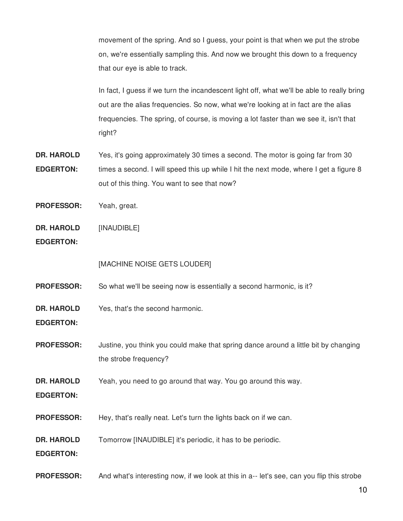movement of the spring. And so I guess, your point is that when we put the strobe on, we're essentially sampling this. And now we brought this down to a frequency that our eye is able to track.

In fact, I guess if we turn the incandescent light off, what we'll be able to really bring out are the alias frequencies. So now, what we're looking at in fact are the alias frequencies. The spring, of course, is moving a lot faster than we see it, isn't that right?

- **DR. HAROLD EDGERTON:** Yes, it's going approximately 30 times a second. The motor is going far from 30 times a second. I will speed this up while I hit the next mode, where I get a figure 8 out of this thing. You want to see that now?
- **PROFESSOR:** Yeah, great.
- **DR. HAROLD** [INAUDIBLE]
- **EDGERTON:**

[MACHINE NOISE GETS LOUDER]

**PROFESSOR:** So what we'll be seeing now is essentially a second harmonic, is it?

**DR. HAROLD** Yes, that's the second harmonic.

- **EDGERTON:**
- **PROFESSOR:** Justine, you think you could make that spring dance around a little bit by changing the strobe frequency?

**DR. HAROLD** Yeah, you need to go around that way. You go around this way.

- **EDGERTON:**
- **PROFESSOR:** Hey, that's really neat. Let's turn the lights back on if we can.

**DR. HAROLD** Tomorrow [INAUDIBLE] it's periodic, it has to be periodic.

**EDGERTON:**

**PROFESSOR:** And what's interesting now, if we look at this in a-- let's see, can you flip this strobe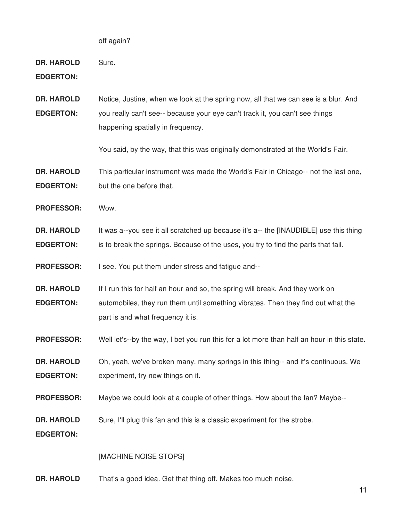off again?

**DR. HAROLD** Sure.

**EDGERTON:**

**DR. HAROLD EDGERTON:** Notice, Justine, when we look at the spring now, all that we can see is a blur. And you really can't see-- because your eye can't track it, you can't see things happening spatially in frequency.

You said, by the way, that this was originally demonstrated at the World's Fair.

**DR. HAROLD EDGERTON:** This particular instrument was made the World's Fair in Chicago-- not the last one, but the one before that.

**PROFESSOR:** Wow.

**DR. HAROLD EDGERTON:** It was a--you see it all scratched up because it's a-- the [INAUDIBLE] use this thing is to break the springs. Because of the uses, you try to find the parts that fail.

**PROFESSOR:** I see. You put them under stress and fatigue and--

**DR. HAROLD EDGERTON:** If I run this for half an hour and so, the spring will break. And they work on automobiles, they run them until something vibrates. Then they find out what the part is and what frequency it is.

**PROFESSOR:** Well let's--by the way, I bet you run this for a lot more than half an hour in this state.

**DR. HAROLD EDGERTON:** Oh, yeah, we've broken many, many springs in this thing-- and it's continuous. We experiment, try new things on it.

**PROFESSOR:** Maybe we could look at a couple of other things. How about the fan? Maybe--

**DR. HAROLD** Sure, I'll plug this fan and this is a classic experiment for the strobe.

**EDGERTON:**

### [MACHINE NOISE STOPS]

**DR. HAROLD** That's a good idea. Get that thing off. Makes too much noise.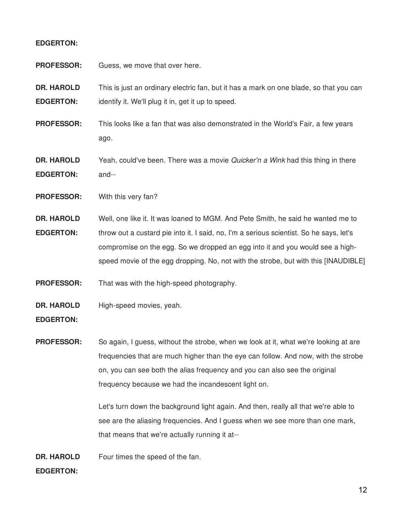## **EDGERTON:**

| <b>PROFESSOR:</b>                     | Guess, we move that over here.                                                                                                               |
|---------------------------------------|----------------------------------------------------------------------------------------------------------------------------------------------|
| <b>DR. HAROLD</b><br><b>EDGERTON:</b> | This is just an ordinary electric fan, but it has a mark on one blade, so that you can<br>identify it. We'll plug it in, get it up to speed. |
| <b>PROFESSOR:</b>                     | This looks like a fan that was also demonstrated in the World's Fair, a few years<br>ago.                                                    |
| <b>DR. HAROLD</b><br><b>EDGERTON:</b> | Yeah, could've been. There was a movie Quicker'n a Wink had this thing in there<br>and--                                                     |
| <b>PROFESSOR:</b>                     | With this very fan?                                                                                                                          |

**DR. HAROLD EDGERTON:** Well, one like it. It was loaned to MGM. And Pete Smith, he said he wanted me to throw out a custard pie into it. I said, no, I'm a serious scientist. So he says, let's compromise on the egg. So we dropped an egg into it and you would see a highspeed movie of the egg dropping. No, not with the strobe, but with this [INAUDIBLE]

**PROFESSOR:** That was with the high-speed photography.

**DR. HAROLD** High-speed movies, yeah.

**EDGERTON:**

**PROFESSOR:** So again, I guess, without the strobe, when we look at it, what we're looking at are frequencies that are much higher than the eye can follow. And now, with the strobe on, you can see both the alias frequency and you can also see the original frequency because we had the incandescent light on.

> Let's turn down the background light again. And then, really all that we're able to see are the aliasing frequencies. And I guess when we see more than one mark, that means that we're actually running it at--

**DR. HAROLD** Four times the speed of the fan.

# **EDGERTON:**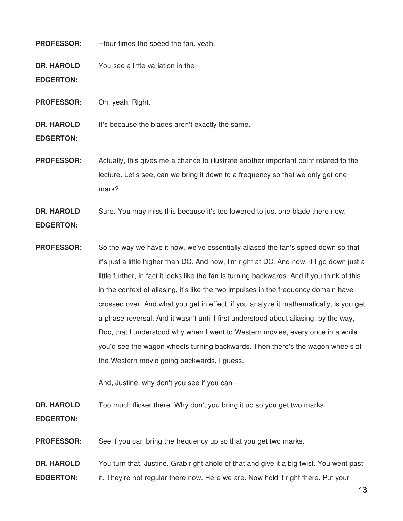# **PROFESSOR:** --four times the speed the fan, yeah. **DR. HAROLD EDGERTON:** You see a little variation in the-- **PROFESSOR:** Oh, yeah. Right. **DR. HAROLD EDGERTON:** It's because the blades aren't exactly the same. **PROFESSOR:** Actually, this gives me a chance to illustrate another important point related to the

lecture. Let's see, can we bring it down to a frequency so that we only get one mark?

**DR. HAROLD EDGERTON:** Sure. You may miss this because it's too lowered to just one blade there now.

**PROFESSOR:** So the way we have it now, we've essentially aliased the fan's speed down so that it's just a little higher than DC. And now, I'm right at DC. And now, if I go down just a little further, in fact it looks like the fan is turning backwards. And if you think of this in the context of aliasing, it's like the two impulses in the frequency domain have crossed over. And what you get in effect, if you analyze it mathematically, is you get a phase reversal. And it wasn't until I first understood about aliasing, by the way, Doc, that I understood why when I went to Western movies, every once in a while you'd see the wagon wheels turning backwards. Then there's the wagon wheels of the Western movie going backwards, I guess.

And, Justine, why don't you see if you can--

**DR. HAROLD** Too much flicker there. Why don't you bring it up so you get two marks.

**EDGERTON:**

**PROFESSOR:** See if you can bring the frequency up so that you get two marks.

**DR. HAROLD EDGERTON:** You turn that, Justine. Grab right ahold of that and give it a big twist. You went past it. They're not regular there now. Here we are. Now hold it right there. Put your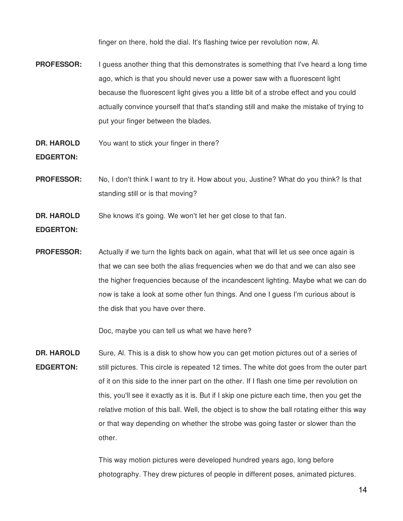finger on there, hold the dial. It's flashing twice per revolution now, Al.

- **PROFESSOR:** I guess another thing that this demonstrates is something that I've heard a long time ago, which is that you should never use a power saw with a fluorescent light because the fluorescent light gives you a little bit of a strobe effect and you could actually convince yourself that that's standing still and make the mistake of trying to put your finger between the blades.
- **DR. HAROLD** You want to stick your finger in there?

**EDGERTON:**

- **PROFESSOR:** No, I don't think I want to try it. How about you, Justine? What do you think? Is that standing still or is that moving?
- **DR. HAROLD** She knows it's going. We won't let her get close to that fan.

**EDGERTON:**

**PROFESSOR:** Actually if we turn the lights back on again, what that will let us see once again is that we can see both the alias frequencies when we do that and we can also see the higher frequencies because of the incandescent lighting. Maybe what we can do now is take a look at some other fun things. And one I guess I'm curious about is the disk that you have over there.

Doc, maybe you can tell us what we have here?

**DR. HAROLD EDGERTON:** Sure, Al. This is a disk to show how you can get motion pictures out of a series of still pictures. This circle is repeated 12 times. The white dot goes from the outer part of it on this side to the inner part on the other. If I flash one time per revolution on this, you'll see it exactly as it is. But if I skip one picture each time, then you get the relative motion of this ball. Well, the object is to show the ball rotating either this way or that way depending on whether the strobe was going faster or slower than the other.

> This way motion pictures were developed hundred years ago, long before photography. They drew pictures of people in different poses, animated pictures.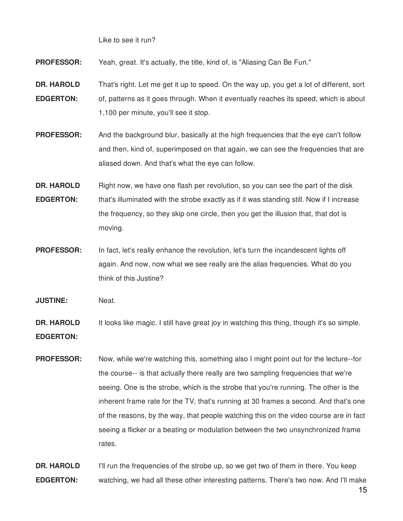Like to see it run?

**PROFESSOR:** Yeah, great. It's actually, the title, kind of, is "Aliasing Can Be Fun."

**DR. HAROLD EDGERTON:** That's right. Let me get it up to speed. On the way up, you get a lot of different, sort of, patterns as it goes through. When it eventually reaches its speed, which is about 1,100 per minute, you'll see it stop.

**PROFESSOR:** And the background blur, basically at the high frequencies that the eye can't follow and then, kind of, superimposed on that again, we can see the frequencies that are aliased down. And that's what the eye can follow.

**DR. HAROLD EDGERTON:** Right now, we have one flash per revolution, so you can see the part of the disk that's illuminated with the strobe exactly as if it was standing still. Now if I increase the frequency, so they skip one circle, then you get the illusion that, that dot is moving.

**PROFESSOR:** In fact, let's really enhance the revolution, let's turn the incandescent lights off again. And now, now what we see really are the alias frequencies. What do you think of this Justine?

**JUSTINE:** Neat.

**DR. HAROLD EDGERTON:** It looks like magic. I still have great joy in watching this thing, though it's so simple.

**PROFESSOR:** Now, while we're watching this, something also I might point out for the lecture--for the course-- is that actually there really are two sampling frequencies that we're seeing. One is the strobe, which is the strobe that you're running. The other is the inherent frame rate for the TV, that's running at 30 frames a second. And that's one of the reasons, by the way, that people watching this on the video course are in fact seeing a flicker or a beating or modulation between the two unsynchronized frame rates.

**DR. HAROLD EDGERTON:** I'll run the frequencies of the strobe up, so we get two of them in there. You keep watching, we had all these other interesting patterns. There's two now. And I'll make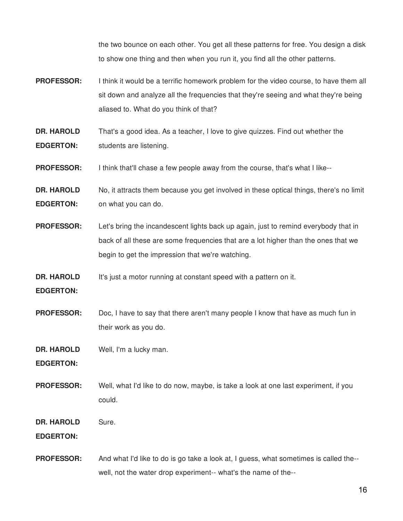the two bounce on each other. You get all these patterns for free. You design a disk to show one thing and then when you run it, you find all the other patterns.

- **PROFESSOR:** I think it would be a terrific homework problem for the video course, to have them all sit down and analyze all the frequencies that they're seeing and what they're being aliased to. What do you think of that?
- **DR. HAROLD EDGERTON:** That's a good idea. As a teacher, I love to give quizzes. Find out whether the students are listening.
- **PROFESSOR:** I think that'll chase a few people away from the course, that's what I like--
- **DR. HAROLD EDGERTON:** No, it attracts them because you get involved in these optical things, there's no limit on what you can do.
- **PROFESSOR:** Let's bring the incandescent lights back up again, just to remind everybody that in back of all these are some frequencies that are a lot higher than the ones that we begin to get the impression that we're watching.
- **DR. HAROLD** It's just a motor running at constant speed with a pattern on it.
- **EDGERTON:**
- **PROFESSOR:** Doc, I have to say that there aren't many people I know that have as much fun in their work as you do.
- **DR. HAROLD** Well, I'm a lucky man.
- **EDGERTON:**
- **PROFESSOR:** Well, what I'd like to do now, maybe, is take a look at one last experiment, if you could.
- **DR. HAROLD** Sure.

#### **EDGERTON:**

**PROFESSOR:** And what I'd like to do is go take a look at, I guess, what sometimes is called the- well, not the water drop experiment-- what's the name of the--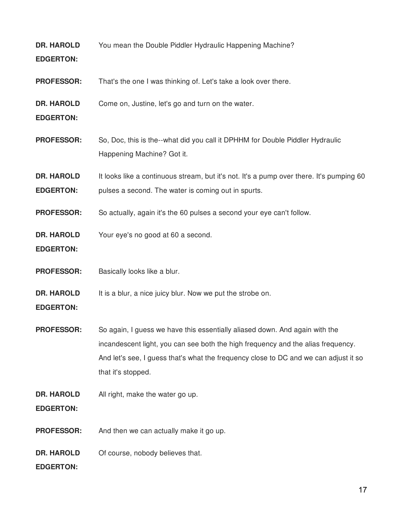**DR. HAROLD EDGERTON:** You mean the Double Piddler Hydraulic Happening Machine?

**PROFESSOR:** That's the one I was thinking of. Let's take a look over there.

**DR. HAROLD** Come on, Justine, let's go and turn on the water.

**EDGERTON:**

- **PROFESSOR:** So, Doc, this is the--what did you call it DPHHM for Double Piddler Hydraulic Happening Machine? Got it.
- **DR. HAROLD EDGERTON:** It looks like a continuous stream, but it's not. It's a pump over there. It's pumping 60 pulses a second. The water is coming out in spurts.

**PROFESSOR:** So actually, again it's the 60 pulses a second your eye can't follow.

**DR. HAROLD** Your eye's no good at 60 a second.

**EDGERTON:**

**PROFESSOR:** Basically looks like a blur.

**DR. HAROLD** It is a blur, a nice juicy blur. Now we put the strobe on.

**EDGERTON:**

**PROFESSOR:** So again, I guess we have this essentially aliased down. And again with the incandescent light, you can see both the high frequency and the alias frequency. And let's see, I guess that's what the frequency close to DC and we can adjust it so that it's stopped.

**DR. HAROLD** All right, make the water go up.

**EDGERTON:**

**PROFESSOR:** And then we can actually make it go up.

**DR. HAROLD** Of course, nobody believes that.

**EDGERTON:**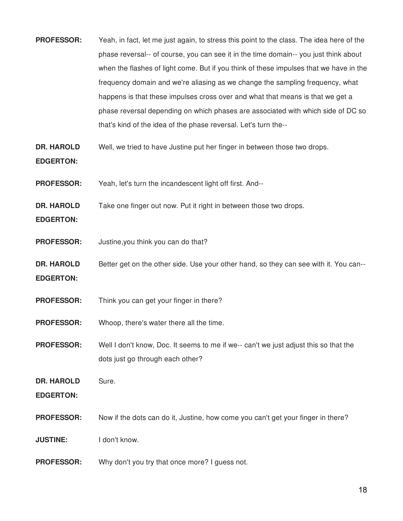- **PROFESSOR:** Yeah, in fact, let me just again, to stress this point to the class. The idea here of the phase reversal-- of course, you can see it in the time domain-- you just think about when the flashes of light come. But if you think of these impulses that we have in the frequency domain and we're aliasing as we change the sampling frequency, what happens is that these impulses cross over and what that means is that we get a phase reversal depending on which phases are associated with which side of DC so that's kind of the idea of the phase reversal. Let's turn the--
- **DR. HAROLD** Well, we tried to have Justine put her finger in between those two drops.

# **EDGERTON:**

- **PROFESSOR:** Yeah, let's turn the incandescent light off first. And--
- **DR. HAROLD** Take one finger out now. Put it right in between those two drops.
- **EDGERTON:**
- **PROFESSOR:** Justine,you think you can do that?
- **DR. HAROLD EDGERTON:** Better get on the other side. Use your other hand, so they can see with it. You can--
- **PROFESSOR:** Think you can get your finger in there?
- **PROFESSOR:** Whoop, there's water there all the time.
- **PROFESSOR:** Well I don't know, Doc. It seems to me if we-- can't we just adjust this so that the dots just go through each other?
- **DR. HAROLD** Sure.

**EDGERTON:**

**PROFESSOR:** Now if the dots can do it, Justine, how come you can't get your finger in there?

**JUSTINE:** I don't know.

**PROFESSOR:** Why don't you try that once more? I quess not.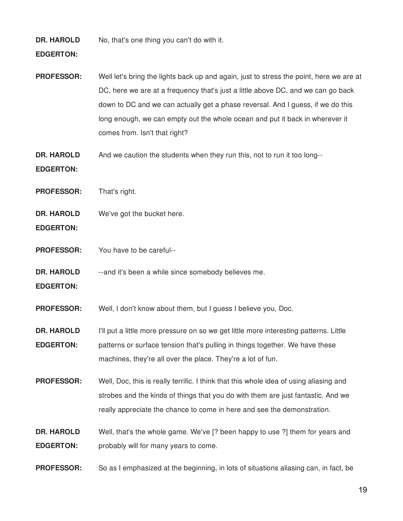**DR. HAROLD** No, that's one thing you can't do with it.

# **EDGERTON:**

- **PROFESSOR:** Well let's bring the lights back up and again, just to stress the point, here we are at DC, here we are at a frequency that's just a little above DC, and we can go back down to DC and we can actually get a phase reversal. And I guess, if we do this long enough, we can empty out the whole ocean and put it back in wherever it comes from. Isn't that right?
- **DR. HAROLD** And we caution the students when they run this, not to run it too long--

### **EDGERTON:**

- **PROFESSOR:** That's right.
- **DR. HAROLD** We've got the bucket here.
- **EDGERTON:**
- **PROFESSOR:** You have to be careful--
- **DR. HAROLD** --and it's been a while since somebody believes me.
- **EDGERTON:**

**PROFESSOR:** Well, I don't know about them, but I guess I believe you, Doc.

**DR. HAROLD EDGERTON:** I'll put a little more pressure on so we get little more interesting patterns. Little patterns or surface tension that's pulling in things together. We have these machines, they're all over the place. They're a lot of fun.

**PROFESSOR:** Well, Doc, this is really terrific. I think that this whole idea of using aliasing and strobes and the kinds of things that you do with them are just fantastic. And we really appreciate the chance to come in here and see the demonstration.

- **DR. HAROLD EDGERTON:** Well, that's the whole game. We've [? been happy to use ?] them for years and probably will for many years to come.
- **PROFESSOR:** So as I emphasized at the beginning, in lots of situations aliasing can, in fact, be